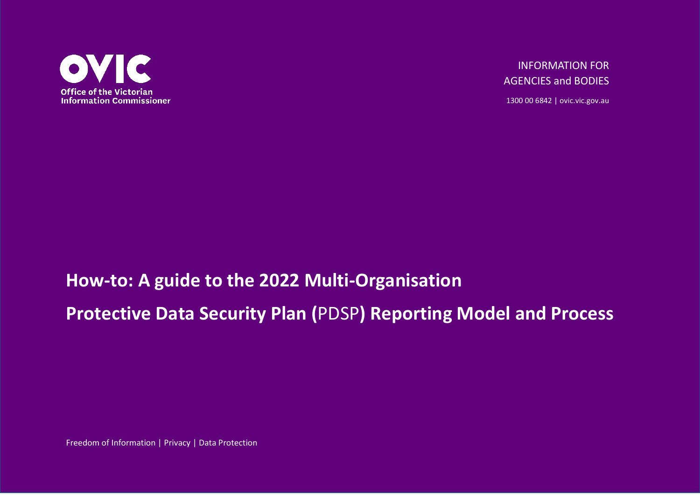

INFORMATION FOR AGENCIES and BODIES

1300 00 6842 | ovic.vic.gov.au

# **How-to: A guide to the 2022 Multi-Organisation Protective Data Security Plan (**PDSP**) Reporting Model and Process**

Freedom of Information | Privacy | Data Protection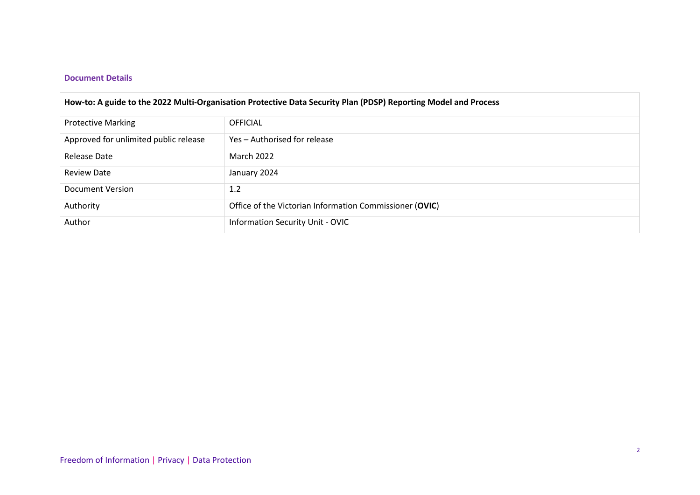#### **Document Details**

| How-to: A guide to the 2022 Multi-Organisation Protective Data Security Plan (PDSP) Reporting Model and Process |                                                         |  |  |
|-----------------------------------------------------------------------------------------------------------------|---------------------------------------------------------|--|--|
| <b>Protective Marking</b>                                                                                       | <b>OFFICIAL</b>                                         |  |  |
| Approved for unlimited public release                                                                           | Yes - Authorised for release                            |  |  |
| Release Date                                                                                                    | March 2022                                              |  |  |
| <b>Review Date</b>                                                                                              | January 2024                                            |  |  |
| Document Version                                                                                                | 1.2                                                     |  |  |
| Authority                                                                                                       | Office of the Victorian Information Commissioner (OVIC) |  |  |
| Author                                                                                                          | Information Security Unit - OVIC                        |  |  |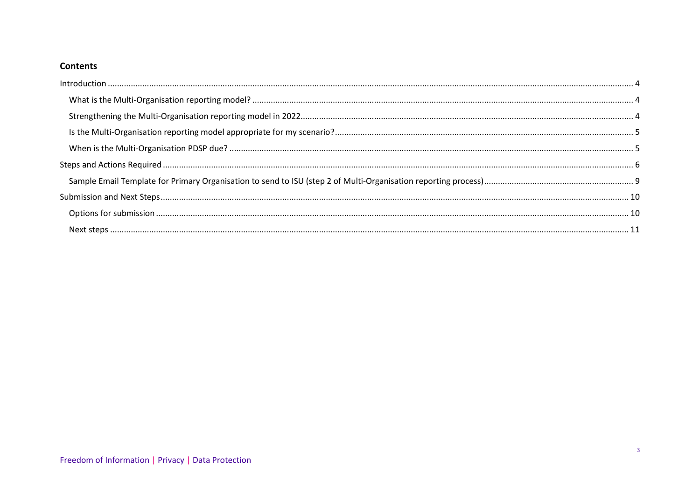#### **Contents**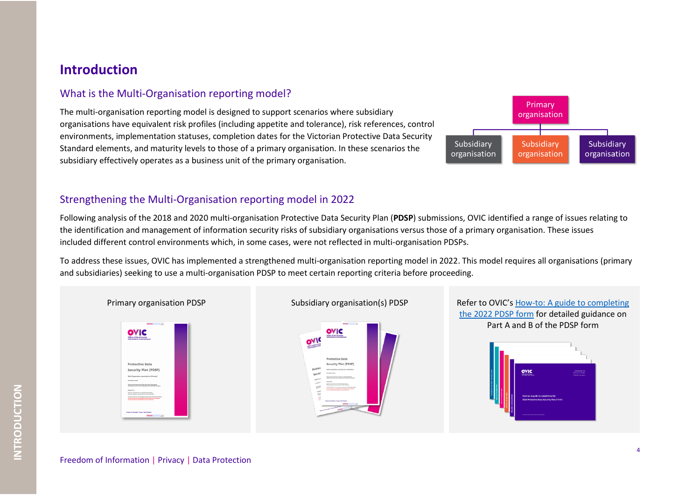## <span id="page-3-0"></span>**Introduction**

## <span id="page-3-1"></span>What is the Multi-Organisation reporting model?

The multi-organisation reporting model is designed to support scenarios where subsidiary organisations have equivalent risk profiles (including appetite and tolerance), risk references, control environments, implementation statuses, completion dates for the Victorian Protective Data Security Standard elements, and maturity levels to those of a primary organisation. In these scenarios the subsidiary effectively operates as a business unit of the primary organisation.



#### <span id="page-3-2"></span>Strengthening the Multi-Organisation reporting model in 2022

Following analysis of the 2018 and 2020 multi-organisation Protective Data Security Plan (**PDSP**) submissions, OVIC identified a range of issues relating to the identification and management of information security risks of subsidiary organisations versus those of a primary organisation. These issues included different control environments which, in some cases, were not reflected in multi-organisation PDSPs.

To address these issues, OVIC has implemented a strengthened multi-organisation reporting model in 2022. This model requires all organisations (primary and subsidiaries) seeking to use a multi-organisation PDSP to meet certain reporting criteria before proceeding.

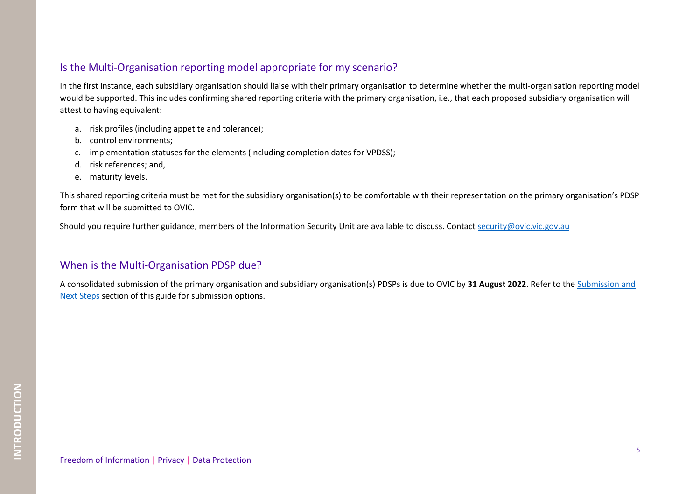### <span id="page-4-0"></span>Is the Multi-Organisation reporting model appropriate for my scenario?

In the first instance, each subsidiary organisation should liaise with their primary organisation to determine whether the multi-organisation reporting model would be supported. This includes confirming shared reporting criteria with the primary organisation, i.e., that each proposed subsidiary organisation will attest to having equivalent:

- a. risk profiles (including appetite and tolerance);
- b. control environments;
- c. implementation statuses for the elements (including completion dates for VPDSS);
- d. risk references; and,
- e. maturity levels.

This shared reporting criteria must be met for the subsidiary organisation(s) to be comfortable with their representation on the primary organisation's PDSP form that will be submitted to OVIC.

Should you require further guidance, members of the Information Security Unit are available to discuss. Contact [security@ovic.vic.gov.au](mailto:security@ovic.vic.gov.au)

## <span id="page-4-1"></span>When is the Multi-Organisation PDSP due?

A consolidated submission of the primary organisation and subsidiary organisation(s) PDSPs is due to OVIC by **31 August 2022**. Refer to the Submission and Next Steps section of this guide for submission options.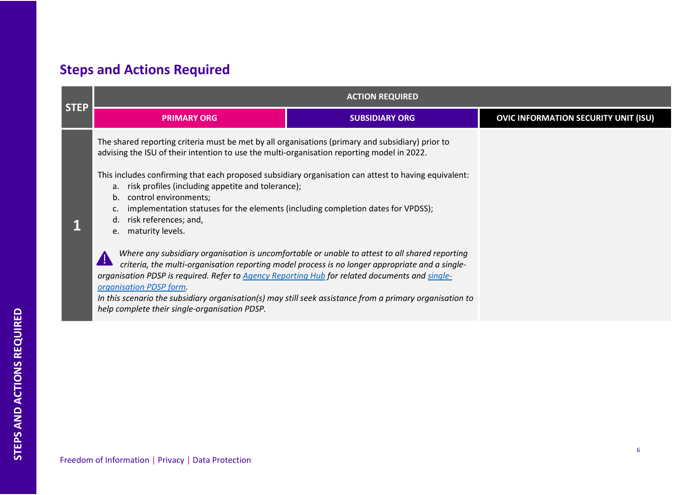# <span id="page-5-0"></span>**Steps and Actions Required**

|                                                                                                                                                           | <b>ACTION REQUIRED</b>                                                                                                                                                                                                                                                                                                                                                                                                                                                                                                                                                                                                                                            |                                                                                                                                                                                                   |                                             |  |
|-----------------------------------------------------------------------------------------------------------------------------------------------------------|-------------------------------------------------------------------------------------------------------------------------------------------------------------------------------------------------------------------------------------------------------------------------------------------------------------------------------------------------------------------------------------------------------------------------------------------------------------------------------------------------------------------------------------------------------------------------------------------------------------------------------------------------------------------|---------------------------------------------------------------------------------------------------------------------------------------------------------------------------------------------------|---------------------------------------------|--|
| <b>STEP</b>                                                                                                                                               | <b>PRIMARY ORG</b>                                                                                                                                                                                                                                                                                                                                                                                                                                                                                                                                                                                                                                                | <b>SUBSIDIARY ORG</b>                                                                                                                                                                             | <b>OVIC INFORMATION SECURITY UNIT (ISU)</b> |  |
|                                                                                                                                                           | The shared reporting criteria must be met by all organisations (primary and subsidiary) prior to<br>advising the ISU of their intention to use the multi-organisation reporting model in 2022.<br>This includes confirming that each proposed subsidiary organisation can attest to having equivalent:<br>a. risk profiles (including appetite and tolerance);<br>b. control environments;<br>implementation statuses for the elements (including completion dates for VPDSS);<br>risk references; and,<br>d.<br>e. maturity levels.<br>organisation PDSP is required. Refer to Agency Reporting Hub for related documents and single-<br>organisation PDSP form. | Where any subsidiary organisation is uncomfortable or unable to attest to all shared reporting<br>criteria, the multi-organisation reporting model process is no longer appropriate and a single- |                                             |  |
| In this scenario the subsidiary organisation(s) may still seek assistance from a primary organisation to<br>help complete their single-organisation PDSP. |                                                                                                                                                                                                                                                                                                                                                                                                                                                                                                                                                                                                                                                                   |                                                                                                                                                                                                   |                                             |  |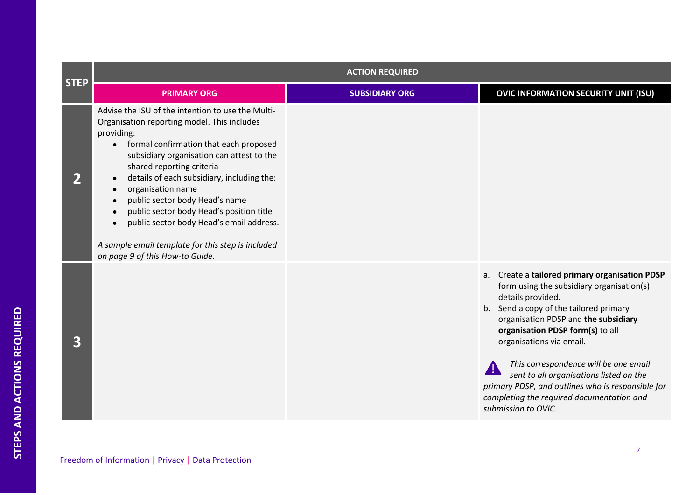|             | <b>ACTION REQUIRED</b>                                                                                                                                                                                                                                                                                                                                                                                                                                                                                                                 |                       |                                                                                                                                                                                                                                                                                                                                                                                                                                                                                    |  |
|-------------|----------------------------------------------------------------------------------------------------------------------------------------------------------------------------------------------------------------------------------------------------------------------------------------------------------------------------------------------------------------------------------------------------------------------------------------------------------------------------------------------------------------------------------------|-----------------------|------------------------------------------------------------------------------------------------------------------------------------------------------------------------------------------------------------------------------------------------------------------------------------------------------------------------------------------------------------------------------------------------------------------------------------------------------------------------------------|--|
| <b>STEP</b> | <b>PRIMARY ORG</b>                                                                                                                                                                                                                                                                                                                                                                                                                                                                                                                     | <b>SUBSIDIARY ORG</b> | <b>OVIC INFORMATION SECURITY UNIT (ISU)</b>                                                                                                                                                                                                                                                                                                                                                                                                                                        |  |
|             | Advise the ISU of the intention to use the Multi-<br>Organisation reporting model. This includes<br>providing:<br>• formal confirmation that each proposed<br>subsidiary organisation can attest to the<br>shared reporting criteria<br>details of each subsidiary, including the:<br>$\bullet$<br>organisation name<br>public sector body Head's name<br>public sector body Head's position title<br>public sector body Head's email address.<br>A sample email template for this step is included<br>on page 9 of this How-to Guide. |                       |                                                                                                                                                                                                                                                                                                                                                                                                                                                                                    |  |
| 3           |                                                                                                                                                                                                                                                                                                                                                                                                                                                                                                                                        |                       | Create a tailored primary organisation PDSP<br>a.<br>form using the subsidiary organisation(s)<br>details provided.<br>b. Send a copy of the tailored primary<br>organisation PDSP and the subsidiary<br>organisation PDSP form(s) to all<br>organisations via email.<br>This correspondence will be one email<br>sent to all organisations listed on the<br>primary PDSP, and outlines who is responsible for<br>completing the required documentation and<br>submission to OVIC. |  |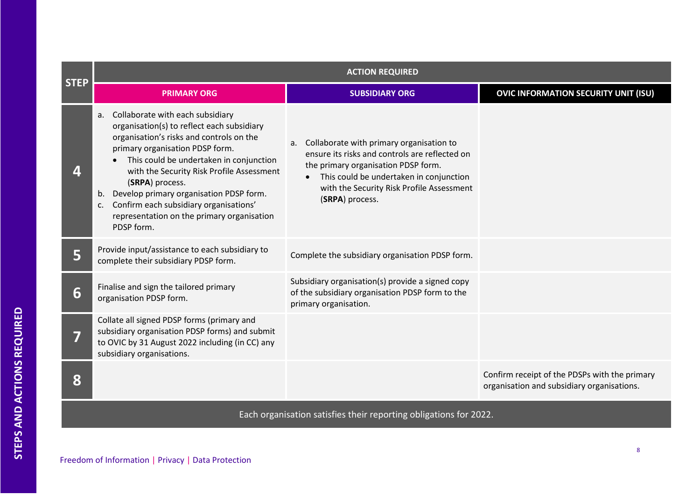| <b>STEP</b> | <b>ACTION REQUIRED</b>                                                                                                                                                                                                                                                                                                                                                                                                                   |                                                                                                                                                                                                                                                 |                                                                                             |  |
|-------------|------------------------------------------------------------------------------------------------------------------------------------------------------------------------------------------------------------------------------------------------------------------------------------------------------------------------------------------------------------------------------------------------------------------------------------------|-------------------------------------------------------------------------------------------------------------------------------------------------------------------------------------------------------------------------------------------------|---------------------------------------------------------------------------------------------|--|
|             | <b>PRIMARY ORG</b>                                                                                                                                                                                                                                                                                                                                                                                                                       | <b>SUBSIDIARY ORG</b>                                                                                                                                                                                                                           | <b>OVIC INFORMATION SECURITY UNIT (ISU)</b>                                                 |  |
|             | a. Collaborate with each subsidiary<br>organisation(s) to reflect each subsidiary<br>organisation's risks and controls on the<br>primary organisation PDSP form.<br>This could be undertaken in conjunction<br>with the Security Risk Profile Assessment<br>(SRPA) process.<br>Develop primary organisation PDSP form.<br>b.<br>Confirm each subsidiary organisations'<br>c.<br>representation on the primary organisation<br>PDSP form. | a. Collaborate with primary organisation to<br>ensure its risks and controls are reflected on<br>the primary organisation PDSP form.<br>This could be undertaken in conjunction<br>with the Security Risk Profile Assessment<br>(SRPA) process. |                                                                                             |  |
| 5           | Provide input/assistance to each subsidiary to<br>complete their subsidiary PDSP form.                                                                                                                                                                                                                                                                                                                                                   | Complete the subsidiary organisation PDSP form.                                                                                                                                                                                                 |                                                                                             |  |
| 6           | Finalise and sign the tailored primary<br>organisation PDSP form.                                                                                                                                                                                                                                                                                                                                                                        | Subsidiary organisation(s) provide a signed copy<br>of the subsidiary organisation PDSP form to the<br>primary organisation.                                                                                                                    |                                                                                             |  |
|             | Collate all signed PDSP forms (primary and<br>subsidiary organisation PDSP forms) and submit<br>to OVIC by 31 August 2022 including (in CC) any<br>subsidiary organisations.                                                                                                                                                                                                                                                             |                                                                                                                                                                                                                                                 |                                                                                             |  |
| 8           |                                                                                                                                                                                                                                                                                                                                                                                                                                          |                                                                                                                                                                                                                                                 | Confirm receipt of the PDSPs with the primary<br>organisation and subsidiary organisations. |  |

Each organisation satisfies their reporting obligations for 2022.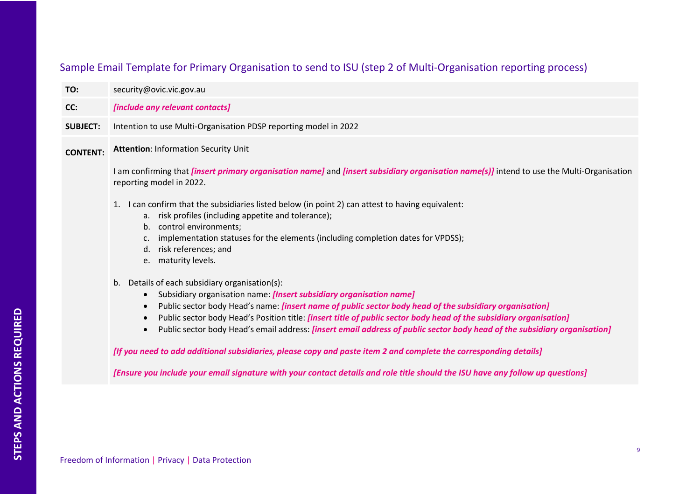# <span id="page-8-0"></span>Sample Email Template for Primary Organisation to send to ISU (step 2 of Multi-Organisation reporting process)

| TO:             | security@ovic.vic.gov.au                                                                                                                                                                                                                                                                                                                                                                                                                                                                                                                                                                                                                                                                                                                                                                                                                                                                                                                                                                                                                                                                                                                                                                                                                                                                                                                                                                   |  |  |
|-----------------|--------------------------------------------------------------------------------------------------------------------------------------------------------------------------------------------------------------------------------------------------------------------------------------------------------------------------------------------------------------------------------------------------------------------------------------------------------------------------------------------------------------------------------------------------------------------------------------------------------------------------------------------------------------------------------------------------------------------------------------------------------------------------------------------------------------------------------------------------------------------------------------------------------------------------------------------------------------------------------------------------------------------------------------------------------------------------------------------------------------------------------------------------------------------------------------------------------------------------------------------------------------------------------------------------------------------------------------------------------------------------------------------|--|--|
| CC:             | [include any relevant contacts]                                                                                                                                                                                                                                                                                                                                                                                                                                                                                                                                                                                                                                                                                                                                                                                                                                                                                                                                                                                                                                                                                                                                                                                                                                                                                                                                                            |  |  |
| <b>SUBJECT:</b> | Intention to use Multi-Organisation PDSP reporting model in 2022                                                                                                                                                                                                                                                                                                                                                                                                                                                                                                                                                                                                                                                                                                                                                                                                                                                                                                                                                                                                                                                                                                                                                                                                                                                                                                                           |  |  |
| <b>CONTENT:</b> | <b>Attention: Information Security Unit</b><br>I am confirming that <i>[insert primary organisation name]</i> and <i>[insert subsidiary organisation name(s)]</i> intend to use the Multi-Organisation<br>reporting model in 2022.<br>1. I can confirm that the subsidiaries listed below (in point 2) can attest to having equivalent:<br>a. risk profiles (including appetite and tolerance);<br>b. control environments;<br>implementation statuses for the elements (including completion dates for VPDSS);<br>C.<br>d. risk references; and<br>e. maturity levels.<br>Details of each subsidiary organisation(s):<br>b.<br>Subsidiary organisation name: [Insert subsidiary organisation name]<br>$\bullet$<br>Public sector body Head's name: <i>[insert name of public sector body head of the subsidiary organisation]</i><br>$\bullet$<br>Public sector body Head's Position title: <i>[insert title of public sector body head of the subsidiary organisation]</i><br>$\bullet$<br>Public sector body Head's email address: [insert email address of public sector body head of the subsidiary organisation]<br>$\bullet$<br>[If you need to add additional subsidiaries, please copy and paste item 2 and complete the corresponding details]<br>[Ensure you include your email signature with your contact details and role title should the ISU have any follow up questions] |  |  |
|                 |                                                                                                                                                                                                                                                                                                                                                                                                                                                                                                                                                                                                                                                                                                                                                                                                                                                                                                                                                                                                                                                                                                                                                                                                                                                                                                                                                                                            |  |  |
|                 |                                                                                                                                                                                                                                                                                                                                                                                                                                                                                                                                                                                                                                                                                                                                                                                                                                                                                                                                                                                                                                                                                                                                                                                                                                                                                                                                                                                            |  |  |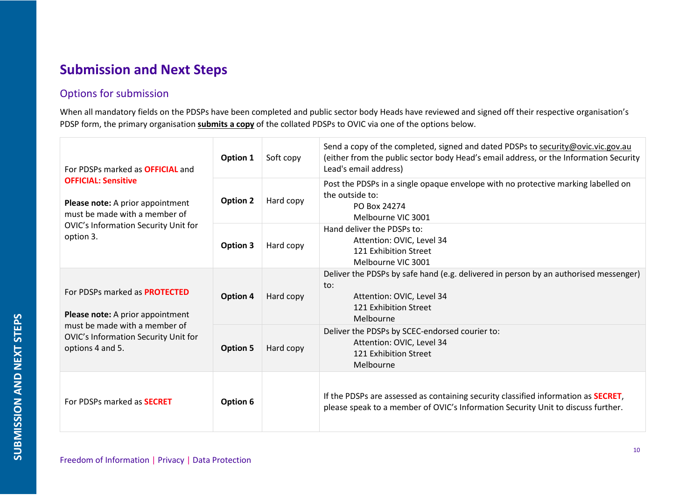# <span id="page-9-0"></span>**Submission and Next Steps**

## <span id="page-9-1"></span>Options for submission

When all mandatory fields on the PDSPs have been completed and public sector body Heads have reviewed and signed off their respective organisation's PDSP form, the primary organisation **submits a copy** of the collated PDSPs to OVIC via one of the options below.

| For PDSPs marked as <b>OFFICIAL</b> and<br><b>OFFICIAL: Sensitive</b><br>Please note: A prior appointment<br>must be made with a member of<br>OVIC's Information Security Unit for<br>option 3. | Option 1        | Soft copy | Send a copy of the completed, signed and dated PDSPs to security@ovic.vic.gov.au<br>(either from the public sector body Head's email address, or the Information Security<br>Lead's email address) |
|-------------------------------------------------------------------------------------------------------------------------------------------------------------------------------------------------|-----------------|-----------|----------------------------------------------------------------------------------------------------------------------------------------------------------------------------------------------------|
|                                                                                                                                                                                                 | <b>Option 2</b> | Hard copy | Post the PDSPs in a single opaque envelope with no protective marking labelled on<br>the outside to:<br>PO Box 24274<br>Melbourne VIC 3001                                                         |
|                                                                                                                                                                                                 | Option 3        | Hard copy | Hand deliver the PDSPs to:<br>Attention: OVIC, Level 34<br>121 Exhibition Street<br>Melbourne VIC 3001                                                                                             |
| For PDSPs marked as <b>PROTECTED</b><br>Please note: A prior appointment                                                                                                                        | Option 4        | Hard copy | Deliver the PDSPs by safe hand (e.g. delivered in person by an authorised messenger)<br>to:<br>Attention: OVIC, Level 34<br>121 Exhibition Street<br>Melbourne                                     |
| must be made with a member of<br>OVIC's Information Security Unit for<br>options 4 and 5.                                                                                                       | <b>Option 5</b> | Hard copy | Deliver the PDSPs by SCEC-endorsed courier to:<br>Attention: OVIC, Level 34<br>121 Exhibition Street<br>Melbourne                                                                                  |
| For PDSPs marked as <b>SECRET</b>                                                                                                                                                               | Option 6        |           | If the PDSPs are assessed as containing security classified information as <b>SECRET</b> ,<br>please speak to a member of OVIC's Information Security Unit to discuss further.                     |